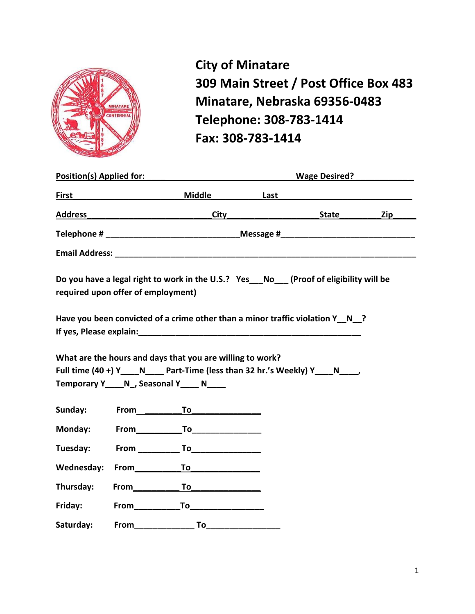

**City of Minatare 309 Main Street / Post Office Box 483 Minatare, Nebraska 69356-0483 Telephone: 308-783-1414 Fax: 308-783-1414**

|                                    |                     | Position(s) Applied for: New York Structure of the Structure of the Structure of the Structure of the Structure of the Structure of the Structure of the Structure of the Structure of the Structure of the Structure of the S |      | Wage Desired? |     |
|------------------------------------|---------------------|--------------------------------------------------------------------------------------------------------------------------------------------------------------------------------------------------------------------------------|------|---------------|-----|
| First                              |                     | <u>Middle Middle Middle</u>                                                                                                                                                                                                    | Last |               |     |
|                                    |                     | Address City                                                                                                                                                                                                                   |      | <b>State</b>  | Zip |
|                                    |                     |                                                                                                                                                                                                                                |      |               |     |
|                                    |                     |                                                                                                                                                                                                                                |      |               |     |
| required upon offer of employment) |                     | Do you have a legal right to work in the U.S.? Yes_ No_ (Proof of eligibility will be                                                                                                                                          |      |               |     |
|                                    |                     | Have you been convicted of a crime other than a minor traffic violation $Y \cap N$ ?<br>If yes, Please explain: when the state of the state of the state of the state of the state of the state of the                         |      |               |     |
|                                    |                     | What are the hours and days that you are willing to work?<br>Full time (40 +) Y N Part-Time (less than 32 hr.'s Weekly) Y N ,<br>Temporary Y_____ N_, Seasonal Y_____ N_____                                                   |      |               |     |
| Sunday:                            |                     | From To To                                                                                                                                                                                                                     |      |               |     |
| Monday:                            |                     |                                                                                                                                                                                                                                |      |               |     |
| Tuesday:                           |                     | $From $ To To                                                                                                                                                                                                                  |      |               |     |
| Wednesday:                         |                     | From To To                                                                                                                                                                                                                     |      |               |     |
| Thursday:                          |                     | From To To                                                                                                                                                                                                                     |      |               |     |
| Friday:                            |                     |                                                                                                                                                                                                                                |      |               |     |
| Saturday:                          | From_______________ | To                                                                                                                                                                                                                             |      |               |     |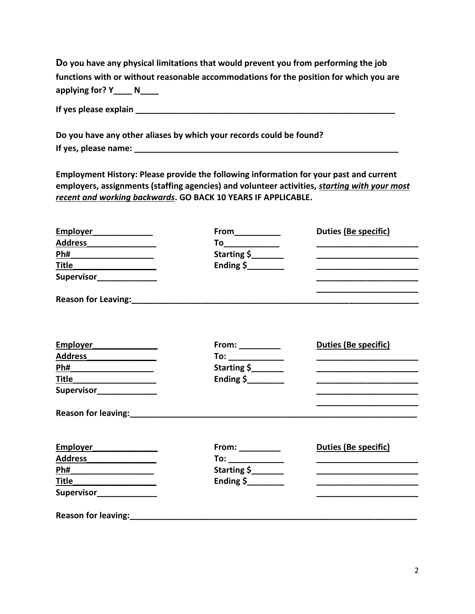**Do you have any physical limitations that would prevent you from performing the job functions with or without reasonable accommodations for the position for which you are applying for? Y\_\_\_\_ N\_\_\_\_**

**If yes please explain \_\_\_\_\_\_\_\_\_\_\_\_\_\_\_\_\_\_\_\_\_\_\_\_\_\_\_\_\_\_\_\_\_\_\_\_\_\_\_\_\_\_\_\_\_\_\_\_\_\_\_\_\_\_\_\_**

**Do you have any other aliases by which your records could be found? If yes, please name: \_\_\_\_\_\_\_\_\_\_\_\_\_\_\_\_\_\_\_\_\_\_\_\_\_\_\_\_\_\_\_\_\_\_\_\_\_\_\_\_\_\_\_\_\_\_\_\_\_\_\_\_\_\_\_\_\_**

**Employment History: Please provide the following information for your past and current employers, assignments (staffing agencies) and volunteer activities,** *starting with your most recent and working backwards***. GO BACK 10 YEARS IF APPLICABLE.**

| Employer                                                  |                      | Duties (Be specific)                                                                                                  |
|-----------------------------------------------------------|----------------------|-----------------------------------------------------------------------------------------------------------------------|
|                                                           | To_____________      |                                                                                                                       |
|                                                           | Starting \$          |                                                                                                                       |
| T <u>itle _________________</u>                           | Ending $\frac{1}{2}$ |                                                                                                                       |
| Supervisor_______________                                 |                      |                                                                                                                       |
|                                                           |                      |                                                                                                                       |
| Employer                                                  | From: $\frac{1}{1}$  | <b>Duties (Be specific)</b>                                                                                           |
|                                                           | To: ______________   |                                                                                                                       |
|                                                           | Starting \$          | <u> 1980 - Johann Barbara, martin da basar da basar da basar da basar da basar da basar da basar da basar da basa</u> |
| <u>Title ____________________</u>                         | Ending $\frac{1}{2}$ | <u> 1980 - Johann Barbara, martin da basar da basar da basar da basar da basar da basar da basar da basar da basa</u> |
| Supervisor_______________                                 |                      | <u> 1980 - Johann Barbara, martxa al III-lea (h. 1980).</u>                                                           |
| Reason for leaving: Management of the Reason for leaving: |                      |                                                                                                                       |
| Employer_______________                                   | $From: ____________$ | <b>Duties (Be specific)</b>                                                                                           |
|                                                           |                      |                                                                                                                       |
| <u>Ph#___________________</u>                             | Starting \$          |                                                                                                                       |
| <u>Title ___________________</u>                          |                      |                                                                                                                       |
| Supervisor_______________                                 |                      |                                                                                                                       |
|                                                           |                      |                                                                                                                       |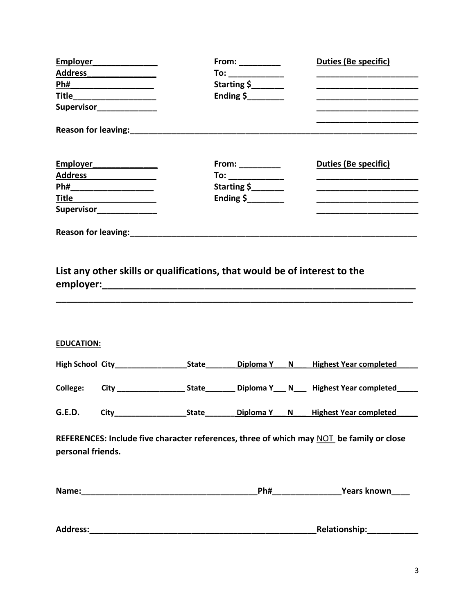| Address_          | <u>Ph#___________________</u><br><u>Title _____________________</u><br>Supervisor______________ |                                                                           | From: $\frac{1}{2}$<br>To: ______________<br>Starting \$<br>Ending \$       |   | Duties (Be specific)<br><u> 1989 - Johann John Stone, market fan de Amerikaanske kommunister (</u>                                                                    |
|-------------------|-------------------------------------------------------------------------------------------------|---------------------------------------------------------------------------|-----------------------------------------------------------------------------|---|-----------------------------------------------------------------------------------------------------------------------------------------------------------------------|
|                   | Reason for leaving:                                                                             |                                                                           |                                                                             |   |                                                                                                                                                                       |
|                   | Employer <b>Employer</b><br>Ti <u>tle ____________________</u><br>Supervisor_______________     |                                                                           | From: __________<br>To: ____________<br>Starting \$<br>Ending $\frac{1}{2}$ |   | <b>Duties (Be specific)</b><br><u> 1989 - Johann Barbara, martin da kasar Amerikaan kasar da</u><br><u> 1980 - Johann Barbara, martin da kasar Amerikaan kasar da</u> |
|                   | Reason for leaving: <b>Network</b>                                                              |                                                                           |                                                                             |   |                                                                                                                                                                       |
| <b>EDUCATION:</b> |                                                                                                 | List any other skills or qualifications, that would be of interest to the |                                                                             |   |                                                                                                                                                                       |
|                   |                                                                                                 |                                                                           |                                                                             |   | <b>Highest Year completed</b>                                                                                                                                         |
|                   |                                                                                                 |                                                                           |                                                                             | N | <b>Highest Year completed</b>                                                                                                                                         |
| <b>G.E.D.</b>     |                                                                                                 |                                                                           |                                                                             |   |                                                                                                                                                                       |
| personal friends. |                                                                                                 |                                                                           |                                                                             |   | REFERENCES: Include five character references, three of which may NOT be family or close                                                                              |
|                   |                                                                                                 |                                                                           |                                                                             |   |                                                                                                                                                                       |
|                   |                                                                                                 |                                                                           |                                                                             |   | Relationship: _____________                                                                                                                                           |